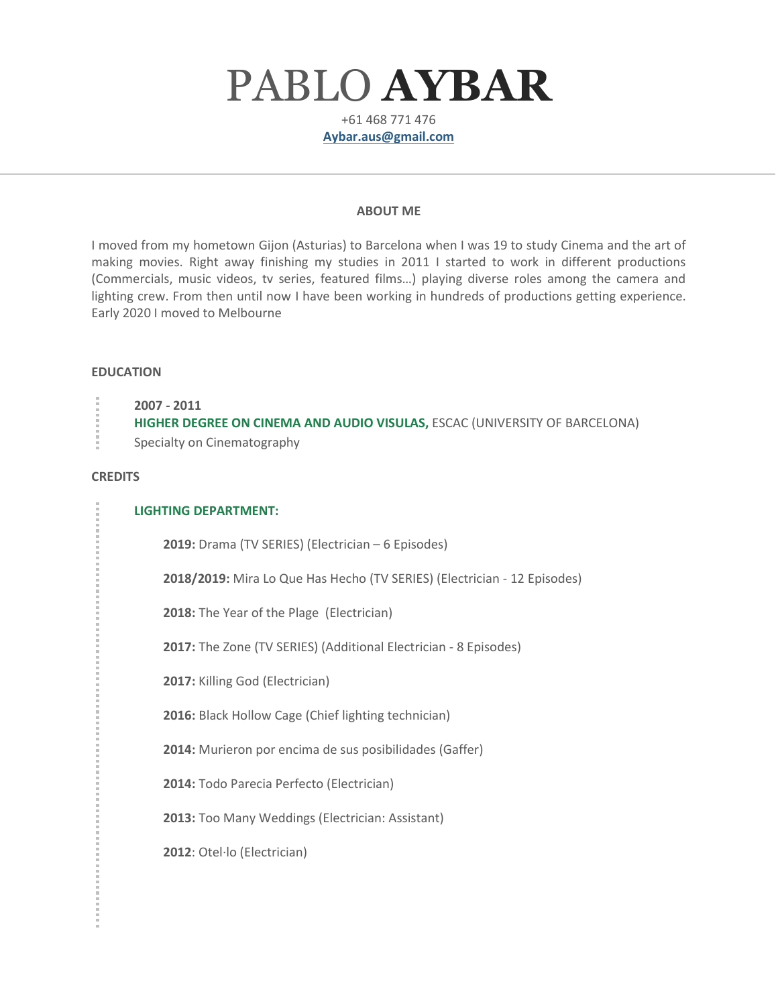# PABLO **AYBAR**

+61 468 771 476 **[Aybar.aus@gmail.com](mailto:Aybar.aus@gmail.com)**

#### **ABOUT ME**

I moved from my hometown Gijon (Asturias) to Barcelona when I was 19 to study Cinema and the art of making movies. Right away finishing my studies in 2011 I started to work in different productions (Commercials, music videos, tv series, featured films…) playing diverse roles among the camera and lighting crew. From then until now I have been working in hundreds of productions getting experience. Early 2020 I moved to Melbourne

### **EDUCATION**

| 2007 - 2011<br>HIGHER DEGREE ON CINEMA AND AUDIO VISULAS, ESCAC (UNIVERSITY OF BARCELONA) |
|-------------------------------------------------------------------------------------------|
| Specialty on Cinematography                                                               |

### **CREDITS**

### **LIGHTING DEPARTMENT:**

**2019:** Drama (TV SERIES) (Electrician – 6 Episodes)

**2018/2019:** Mira Lo Que Has Hecho (TV SERIES) (Electrician - 12 Episodes)

**2018:** The Year of the Plage (Electrician)

**2017:** The Zone (TV SERIES) (Additional Electrician - 8 Episodes)

**2017:** Killing God (Electrician)

**2016:** Black Hollow Cage (Chief lighting technician)

**2014:** Murieron por encima de sus posibilidades (Gaffer)

**2014:** Todo Parecia Perfecto (Electrician)

**2013:** Too Many Weddings (Electrician: Assistant)

**2012**: Otel·lo (Electrician)